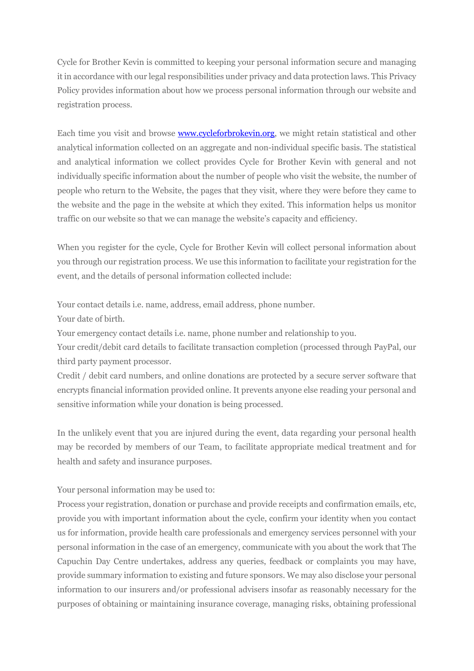Cycle for Brother Kevin is committed to keeping your personal information secure and managing it in accordance with our legal responsibilities under privacy and data protection laws. This Privacy Policy provides information about how we process personal information through our website and registration process.

Each time you visit and browse www.cycleforbrokevin.org, we might retain statistical and other analytical information collected on an aggregate and non-individual specific basis. The statistical and analytical information we collect provides Cycle for Brother Kevin with general and not individually specific information about the number of people who visit the website, the number of people who return to the Website, the pages that they visit, where they were before they came to the website and the page in the website at which they exited. This information helps us monitor traffic on our website so that we can manage the website's capacity and efficiency.

When you register for the cycle, Cycle for Brother Kevin will collect personal information about you through our registration process. We use this information to facilitate your registration for the event, and the details of personal information collected include:

Your contact details i.e. name, address, email address, phone number.

Your date of birth.

Your emergency contact details i.e. name, phone number and relationship to you.

Your credit/debit card details to facilitate transaction completion (processed through PayPal, our third party payment processor.

Credit / debit card numbers, and online donations are protected by a secure server software that encrypts financial information provided online. It prevents anyone else reading your personal and sensitive information while your donation is being processed.

In the unlikely event that you are injured during the event, data regarding your personal health may be recorded by members of our Team, to facilitate appropriate medical treatment and for health and safety and insurance purposes.

Your personal information may be used to:

Process your registration, donation or purchase and provide receipts and confirmation emails, etc, provide you with important information about the cycle, confirm your identity when you contact us for information, provide health care professionals and emergency services personnel with your personal information in the case of an emergency, communicate with you about the work that The Capuchin Day Centre undertakes, address any queries, feedback or complaints you may have, provide summary information to existing and future sponsors. We may also disclose your personal information to our insurers and/or professional advisers insofar as reasonably necessary for the purposes of obtaining or maintaining insurance coverage, managing risks, obtaining professional